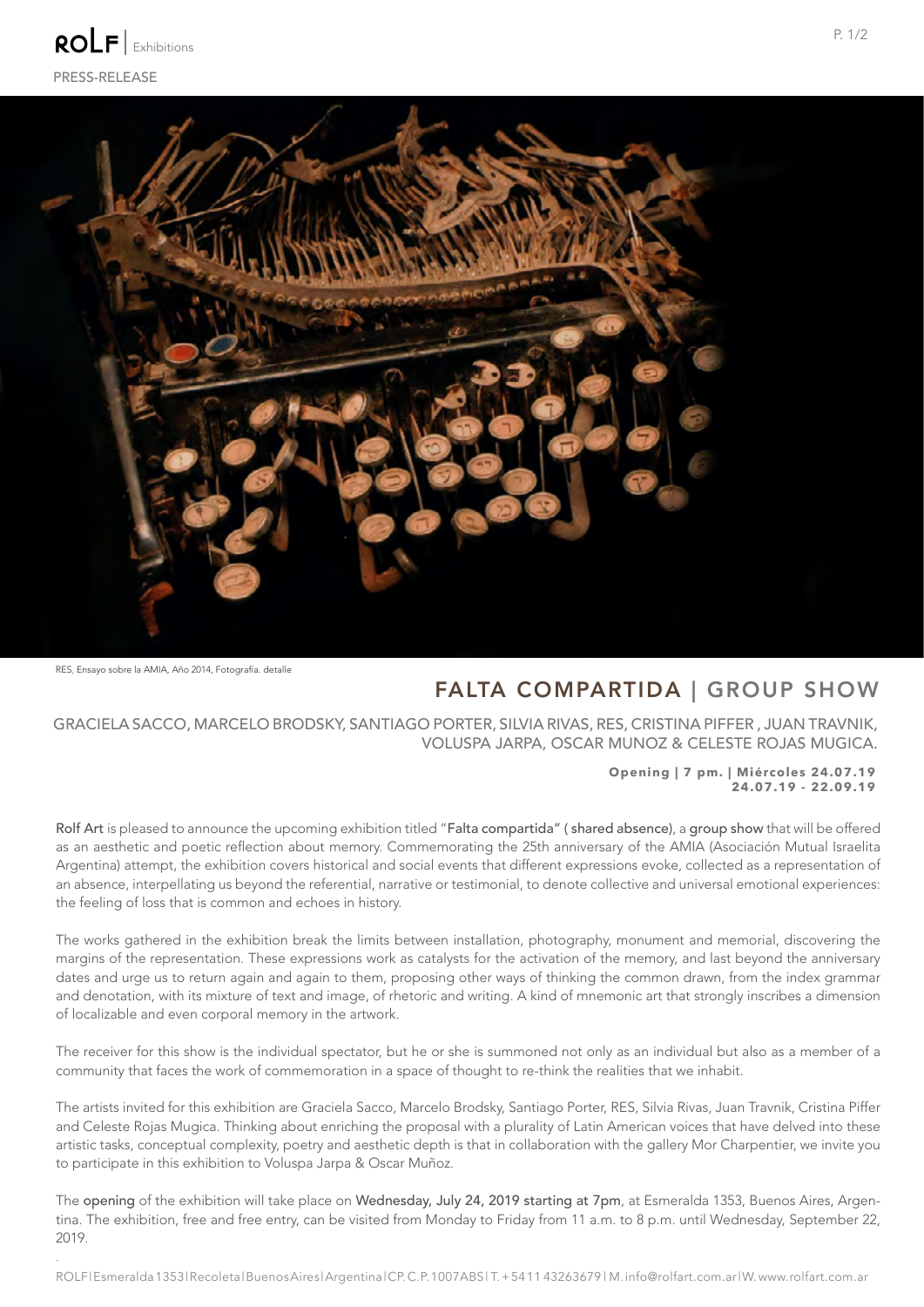

RES, Ensayo sobre la AMIA, Año 2014, Fotografía. detalle

*.* 

## FALTA COMPARTIDA | GROUP SHOW

GRACIELA SACCO, MARCELO BRODSKY, SANTIAGO PORTER, SILVIA RIVAS, RES, CRISTINA PIFFER , JUAN TRAVNIK, VOLUSPA JARPA, OSCAR MUNOZ & CELESTE ROJAS MUGICA.

### **Opening | 7 pm. | Miércoles 24.07.19 24.07.19 - 22.09.19**

Rolf Art is pleased to announce the upcoming exhibition titled "Falta compartida" ( shared absence), a group show that will be offered as an aesthetic and poetic reflection about memory. Commemorating the 25th anniversary of the AMIA (Asociación Mutual Israelita Argentina) attempt, the exhibition covers historical and social events that different expressions evoke, collected as a representation of an absence, interpellating us beyond the referential, narrative or testimonial, to denote collective and universal emotional experiences: the feeling of loss that is common and echoes in history.

The works gathered in the exhibition break the limits between installation, photography, monument and memorial, discovering the margins of the representation. These expressions work as catalysts for the activation of the memory, and last beyond the anniversary dates and urge us to return again and again to them, proposing other ways of thinking the common drawn, from the index grammar and denotation, with its mixture of text and image, of rhetoric and writing. A kind of mnemonic art that strongly inscribes a dimension of localizable and even corporal memory in the artwork.

The receiver for this show is the individual spectator, but he or she is summoned not only as an individual but also as a member of a community that faces the work of commemoration in a space of thought to re-think the realities that we inhabit.

The artists invited for this exhibition are Graciela Sacco, Marcelo Brodsky, Santiago Porter, RES, Silvia Rivas, Juan Travnik, Cristina Piffer and Celeste Rojas Mugica. Thinking about enriching the proposal with a plurality of Latin American voices that have delved into these artistic tasks, conceptual complexity, poetry and aesthetic depth is that in collaboration with the gallery Mor Charpentier, we invite you to participate in this exhibition to Voluspa Jarpa & Oscar Muñoz.

The opening of the exhibition will take place on Wednesday, July 24, 2019 starting at 7pm, at Esmeralda 1353, Buenos Aires, Argentina. The exhibition, free and free entry, can be visited from Monday to Friday from 11 a.m. to 8 p.m. until Wednesday, September 22, 2019.

ROLF | Esmeralda 1353 | Recoleta | Buenos Aires | Argentina | CP. C.P. 1007ABS | T. + 54 11 43263679 | M. info@rolfart.com.ar | W. www.rolfart.com.ar